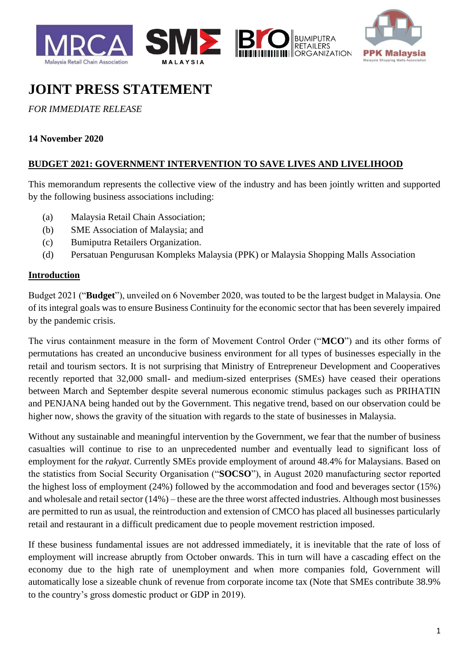



**BUMIPUTRA**<br>RETAILERS **ORGANIZATION** 

# **JOINT PRESS STATEMENT**

# *FOR IMMEDIATE RELEASE*

## **14 November 2020**

## **BUDGET 2021: GOVERNMENT INTERVENTION TO SAVE LIVES AND LIVELIHOOD**

This memorandum represents the collective view of the industry and has been jointly written and supported by the following business associations including:

- (a) Malaysia Retail Chain Association;
- (b) SME Association of Malaysia; and
- (c) Bumiputra Retailers Organization.
- (d) Persatuan Pengurusan Kompleks Malaysia (PPK) or Malaysia Shopping Malls Association

#### **Introduction**

Budget 2021 ("**Budget**"), unveiled on 6 November 2020, was touted to be the largest budget in Malaysia. One of its integral goals was to ensure Business Continuity for the economic sector that has been severely impaired by the pandemic crisis.

The virus containment measure in the form of Movement Control Order ("**MCO**") and its other forms of permutations has created an unconducive business environment for all types of businesses especially in the retail and tourism sectors. It is not surprising that Ministry of Entrepreneur Development and Cooperatives recently reported that 32,000 small- and medium-sized enterprises (SMEs) have ceased their operations between March and September despite several numerous economic stimulus packages such as PRIHATIN and PENJANA being handed out by the Government. This negative trend, based on our observation could be higher now, shows the gravity of the situation with regards to the state of businesses in Malaysia.

Without any sustainable and meaningful intervention by the Government, we fear that the number of business casualties will continue to rise to an unprecedented number and eventually lead to significant loss of employment for the *rakyat*. Currently SMEs provide employment of around 48.4% for Malaysians. Based on the statistics from Social Security Organisation ("**SOCSO**"), in August 2020 manufacturing sector reported the highest loss of employment (24%) followed by the accommodation and food and beverages sector (15%) and wholesale and retail sector (14%) – these are the three worst affected industries. Although most businesses are permitted to run as usual, the reintroduction and extension of CMCO has placed all businesses particularly retail and restaurant in a difficult predicament due to people movement restriction imposed.

If these business fundamental issues are not addressed immediately, it is inevitable that the rate of loss of employment will increase abruptly from October onwards. This in turn will have a cascading effect on the economy due to the high rate of unemployment and when more companies fold, Government will automatically lose a sizeable chunk of revenue from corporate income tax (Note that SMEs contribute 38.9% to the country's gross domestic product or GDP in 2019).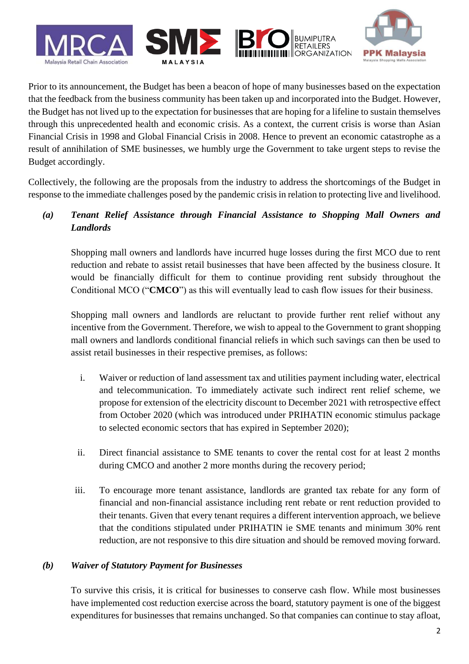

Prior to its announcement, the Budget has been a beacon of hope of many businesses based on the expectation that the feedback from the business community has been taken up and incorporated into the Budget. However, the Budget has not lived up to the expectation for businesses that are hoping for a lifeline to sustain themselves through this unprecedented health and economic crisis. As a context, the current crisis is worse than Asian Financial Crisis in 1998 and Global Financial Crisis in 2008. Hence to prevent an economic catastrophe as a result of annihilation of SME businesses, we humbly urge the Government to take urgent steps to revise the Budget accordingly.

Collectively, the following are the proposals from the industry to address the shortcomings of the Budget in response to the immediate challenges posed by the pandemic crisis in relation to protecting live and livelihood.

*(a) Tenant Relief Assistance through Financial Assistance to Shopping Mall Owners and Landlords*

Shopping mall owners and landlords have incurred huge losses during the first MCO due to rent reduction and rebate to assist retail businesses that have been affected by the business closure. It would be financially difficult for them to continue providing rent subsidy throughout the Conditional MCO ("**CMCO**") as this will eventually lead to cash flow issues for their business.

Shopping mall owners and landlords are reluctant to provide further rent relief without any incentive from the Government. Therefore, we wish to appeal to the Government to grant shopping mall owners and landlords conditional financial reliefs in which such savings can then be used to assist retail businesses in their respective premises, as follows:

- i. Waiver or reduction of land assessment tax and utilities payment including water, electrical and telecommunication. To immediately activate such indirect rent relief scheme, we propose for extension of the electricity discount to December 2021 with retrospective effect from October 2020 (which was introduced under PRIHATIN economic stimulus package to selected economic sectors that has expired in September 2020);
- ii. Direct financial assistance to SME tenants to cover the rental cost for at least 2 months during CMCO and another 2 more months during the recovery period;
- iii. To encourage more tenant assistance, landlords are granted tax rebate for any form of financial and non-financial assistance including rent rebate or rent reduction provided to their tenants. Given that every tenant requires a different intervention approach, we believe that the conditions stipulated under PRIHATIN ie SME tenants and minimum 30% rent reduction, are not responsive to this dire situation and should be removed moving forward.

#### *(b) Waiver of Statutory Payment for Businesses*

To survive this crisis, it is critical for businesses to conserve cash flow. While most businesses have implemented cost reduction exercise across the board, statutory payment is one of the biggest expenditures for businesses that remains unchanged. So that companies can continue to stay afloat,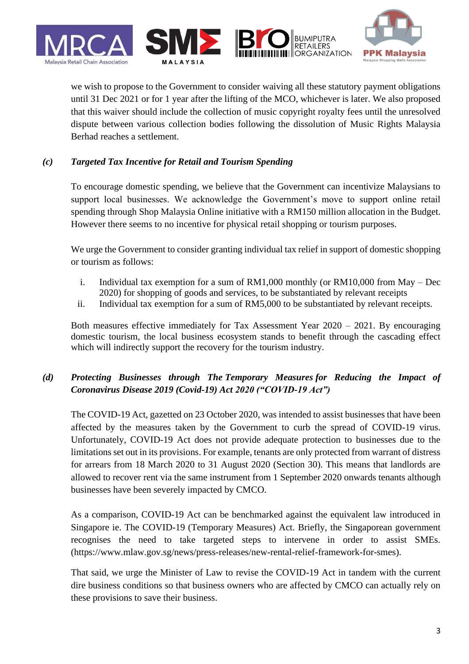







we wish to propose to the Government to consider waiving all these statutory payment obligations until 31 Dec 2021 or for 1 year after the lifting of the MCO, whichever is later. We also proposed that this waiver should include the collection of music copyright royalty fees until the unresolved dispute between various collection bodies following the dissolution of Music Rights Malaysia Berhad reaches a settlement.

## *(c) Targeted Tax Incentive for Retail and Tourism Spending*

To encourage domestic spending, we believe that the Government can incentivize Malaysians to support local businesses. We acknowledge the Government's move to support online retail spending through Shop Malaysia Online initiative with a RM150 million allocation in the Budget. However there seems to no incentive for physical retail shopping or tourism purposes.

We urge the Government to consider granting individual tax relief in support of domestic shopping or tourism as follows:

- i. Individual tax exemption for a sum of RM1,000 monthly (or RM10,000 from May Dec 2020) for shopping of goods and services, to be substantiated by relevant receipts
- ii. Individual tax exemption for a sum of RM5,000 to be substantiated by relevant receipts.

Both measures effective immediately for Tax Assessment Year 2020 – 2021. By encouraging domestic tourism, the local business ecosystem stands to benefit through the cascading effect which will indirectly support the recovery for the tourism industry.

# *(d) Protecting Businesses through The Temporary Measures for Reducing the Impact of Coronavirus Disease 2019 (Covid-19) Act 2020 ("COVID-19 Act")*

The COVID-19 Act, gazetted on 23 October 2020, was intended to assist businesses that have been affected by the measures taken by the Government to curb the spread of COVID-19 virus. Unfortunately, COVID-19 Act does not provide adequate protection to businesses due to the limitations set out in its provisions. For example, tenants are only protected from warrant of distress for arrears from 18 March 2020 to 31 August 2020 (Section 30). This means that landlords are allowed to recover rent via the same instrument from 1 September 2020 onwards tenants although businesses have been severely impacted by CMCO.

As a comparison, COVID-19 Act can be benchmarked against the equivalent law introduced in Singapore ie. The COVID-19 (Temporary Measures) Act. Briefly, the Singaporean government recognises the need to take targeted steps to intervene in order to assist SMEs. (https://www.mlaw.gov.sg/news/press-releases/new-rental-relief-framework-for-smes).

That said, we urge the Minister of Law to revise the COVID-19 Act in tandem with the current dire business conditions so that business owners who are affected by CMCO can actually rely on these provisions to save their business.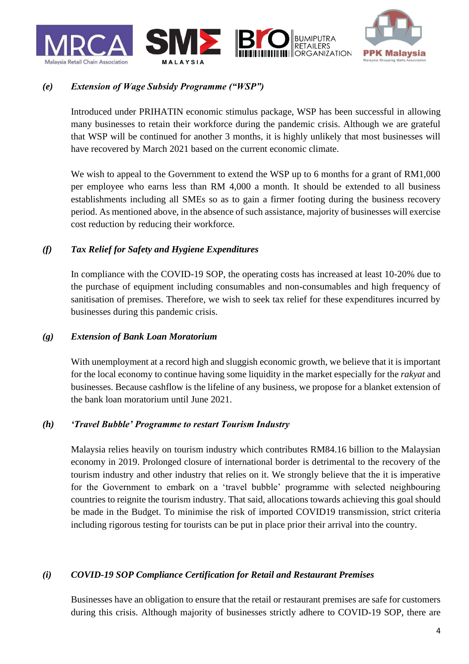



# *(e) Extension of Wage Subsidy Programme ("WSP")*

Introduced under PRIHATIN economic stimulus package, WSP has been successful in allowing many businesses to retain their workforce during the pandemic crisis. Although we are grateful that WSP will be continued for another 3 months, it is highly unlikely that most businesses will have recovered by March 2021 based on the current economic climate.

We wish to appeal to the Government to extend the WSP up to 6 months for a grant of RM1,000 per employee who earns less than RM 4,000 a month. It should be extended to all business establishments including all SMEs so as to gain a firmer footing during the business recovery period. As mentioned above, in the absence of such assistance, majority of businesses will exercise cost reduction by reducing their workforce.

#### *(f) Tax Relief for Safety and Hygiene Expenditures*

In compliance with the COVID-19 SOP, the operating costs has increased at least 10-20% due to the purchase of equipment including consumables and non-consumables and high frequency of sanitisation of premises. Therefore, we wish to seek tax relief for these expenditures incurred by businesses during this pandemic crisis.

#### *(g) Extension of Bank Loan Moratorium*

With unemployment at a record high and sluggish economic growth, we believe that it is important for the local economy to continue having some liquidity in the market especially for the *rakyat* and businesses. Because cashflow is the lifeline of any business, we propose for a blanket extension of the bank loan moratorium until June 2021.

#### *(h) 'Travel Bubble' Programme to restart Tourism Industry*

Malaysia relies heavily on tourism industry which contributes RM84.16 billion to the Malaysian economy in 2019. Prolonged closure of international border is detrimental to the recovery of the tourism industry and other industry that relies on it. We strongly believe that the it is imperative for the Government to embark on a 'travel bubble' programme with selected neighbouring countries to reignite the tourism industry. That said, allocations towards achieving this goal should be made in the Budget. To minimise the risk of imported COVID19 transmission, strict criteria including rigorous testing for tourists can be put in place prior their arrival into the country.

#### *(i) COVID-19 SOP Compliance Certification for Retail and Restaurant Premises*

Businesses have an obligation to ensure that the retail or restaurant premises are safe for customers during this crisis. Although majority of businesses strictly adhere to COVID-19 SOP, there are